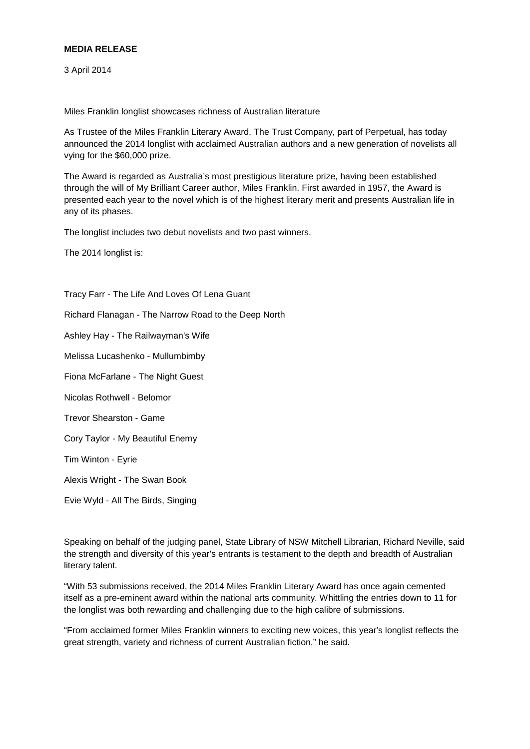## **MEDIA RELEASE**

3 April 2014

Miles Franklin longlist showcases richness of Australian literature

As Trustee of the Miles Franklin Literary Award, The Trust Company, part of Perpetual, has today announced the 2014 longlist with acclaimed Australian authors and a new generation of novelists all vying for the \$60,000 prize.

The Award is regarded as Australia's most prestigious literature prize, having been established through the will of My Brilliant Career author, Miles Franklin. First awarded in 1957, the Award is presented each year to the novel which is of the highest literary merit and presents Australian life in any of its phases.

The longlist includes two debut novelists and two past winners.

The 2014 longlist is:

Tracy Farr - The Life And Loves Of Lena Guant Richard Flanagan - The Narrow Road to the Deep North Ashley Hay - The Railwayman's Wife Melissa Lucashenko - Mullumbimby Fiona McFarlane - The Night Guest Nicolas Rothwell - Belomor Trevor Shearston - Game Cory Taylor - My Beautiful Enemy Tim Winton - Eyrie Alexis Wright - The Swan Book

Evie Wyld - All The Birds, Singing

Speaking on behalf of the judging panel, State Library of NSW Mitchell Librarian, Richard Neville, said the strength and diversity of this year's entrants is testament to the depth and breadth of Australian literary talent.

"With 53 submissions received, the 2014 Miles Franklin Literary Award has once again cemented itself as a pre-eminent award within the national arts community. Whittling the entries down to 11 for the longlist was both rewarding and challenging due to the high calibre of submissions.

"From acclaimed former Miles Franklin winners to exciting new voices, this year's longlist reflects the great strength, variety and richness of current Australian fiction," he said.